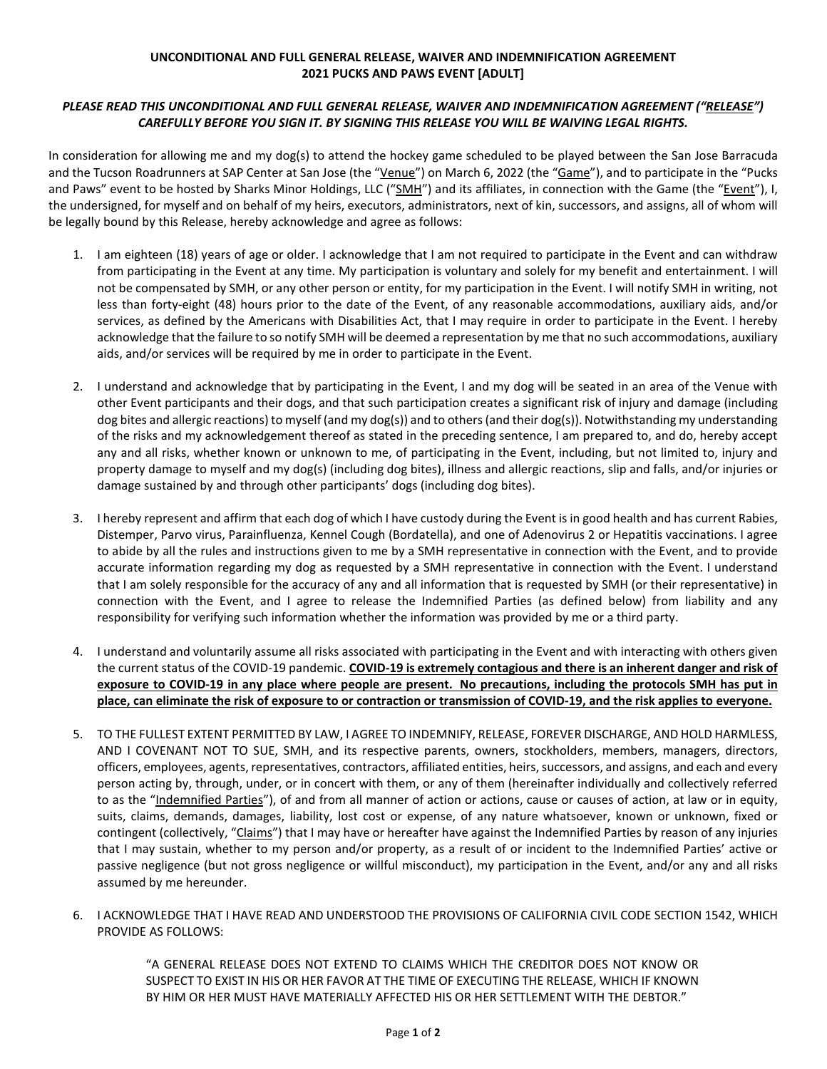## **UNCONDITIONAL AND FULL GENERAL RELEASE, WAIVER AND INDEMNIFICATION AGREEMENT 2021 PUCKS AND PAWS EVENT [ADULT]**

## *PLEASE READ THIS UNCONDITIONAL AND FULL GENERAL RELEASE, WAIVER AND INDEMNIFICATION AGREEMENT ("RELEASE") CAREFULLY BEFORE YOU SIGN IT. BY SIGNING THIS RELEASE YOU WILL BE WAIVING LEGAL RIGHTS.*

In consideration for allowing me and my dog(s) to attend the hockey game scheduled to be played between the San Jose Barracuda and the Tucson Roadrunners at SAP Center at San Jose (the "Venue") on March 6, 2022 (the "Game"), and to participate in the "Pucks and Paws" event to be hosted by Sharks Minor Holdings, LLC ("SMH") and its affiliates, in connection with the Game (the "Event"), I, the undersigned, for myself and on behalf of my heirs, executors, administrators, next of kin, successors, and assigns, all of whom will be legally bound by this Release, hereby acknowledge and agree as follows:

- 1. I am eighteen (18) years of age or older. I acknowledge that I am not required to participate in the Event and can withdraw from participating in the Event at any time. My participation is voluntary and solely for my benefit and entertainment. I will not be compensated by SMH, or any other person or entity, for my participation in the Event. I will notify SMH in writing, not less than forty-eight (48) hours prior to the date of the Event, of any reasonable accommodations, auxiliary aids, and/or services, as defined by the Americans with Disabilities Act, that I may require in order to participate in the Event. I hereby acknowledge that the failure to so notify SMH will be deemed a representation by me that no such accommodations, auxiliary aids, and/or services will be required by me in order to participate in the Event.
- 2. I understand and acknowledge that by participating in the Event, I and my dog will be seated in an area of the Venue with other Event participants and their dogs, and that such participation creates a significant risk of injury and damage (including dog bites and allergic reactions) to myself (and my dog(s)) and to others (and their dog(s)). Notwithstanding my understanding of the risks and my acknowledgement thereof as stated in the preceding sentence, I am prepared to, and do, hereby accept any and all risks, whether known or unknown to me, of participating in the Event, including, but not limited to, injury and property damage to myself and my dog(s) (including dog bites), illness and allergic reactions, slip and falls, and/or injuries or damage sustained by and through other participants' dogs (including dog bites).
- 3. I hereby represent and affirm that each dog of which I have custody during the Event is in good health and has current Rabies, Distemper, Parvo virus, Parainfluenza, Kennel Cough (Bordatella), and one of Adenovirus 2 or Hepatitis vaccinations. I agree to abide by all the rules and instructions given to me by a SMH representative in connection with the Event, and to provide accurate information regarding my dog as requested by a SMH representative in connection with the Event. I understand that I am solely responsible for the accuracy of any and all information that is requested by SMH (or their representative) in connection with the Event, and I agree to release the Indemnified Parties (as defined below) from liability and any responsibility for verifying such information whether the information was provided by me or a third party.
- 4. I understand and voluntarily assume all risks associated with participating in the Event and with interacting with others given the current status of the COVID-19 pandemic. **COVID-19 is extremely contagious and there is an inherent danger and risk of exposure to COVID-19 in any place where people are present. No precautions, including the protocols SMH has put in place, can eliminate the risk of exposure to or contraction or transmission of COVID-19, and the risk applies to everyone.**
- 5. TO THE FULLEST EXTENT PERMITTED BY LAW, I AGREE TO INDEMNIFY, RELEASE, FOREVER DISCHARGE, AND HOLD HARMLESS, AND I COVENANT NOT TO SUE, SMH, and its respective parents, owners, stockholders, members, managers, directors, officers, employees, agents, representatives, contractors, affiliated entities, heirs, successors, and assigns, and each and every person acting by, through, under, or in concert with them, or any of them (hereinafter individually and collectively referred to as the "Indemnified Parties"), of and from all manner of action or actions, cause or causes of action, at law or in equity, suits, claims, demands, damages, liability, lost cost or expense, of any nature whatsoever, known or unknown, fixed or contingent (collectively, "Claims") that I may have or hereafter have against the Indemnified Parties by reason of any injuries that I may sustain, whether to my person and/or property, as a result of or incident to the Indemnified Parties' active or passive negligence (but not gross negligence or willful misconduct), my participation in the Event, and/or any and all risks assumed by me hereunder.
- 6. I ACKNOWLEDGE THAT I HAVE READ AND UNDERSTOOD THE PROVISIONS OF CALIFORNIA CIVIL CODE SECTION 1542, WHICH PROVIDE AS FOLLOWS:

"A GENERAL RELEASE DOES NOT EXTEND TO CLAIMS WHICH THE CREDITOR DOES NOT KNOW OR SUSPECT TO EXIST IN HIS OR HER FAVOR AT THE TIME OF EXECUTING THE RELEASE, WHICH IF KNOWN BY HIM OR HER MUST HAVE MATERIALLY AFFECTED HIS OR HER SETTLEMENT WITH THE DEBTOR."